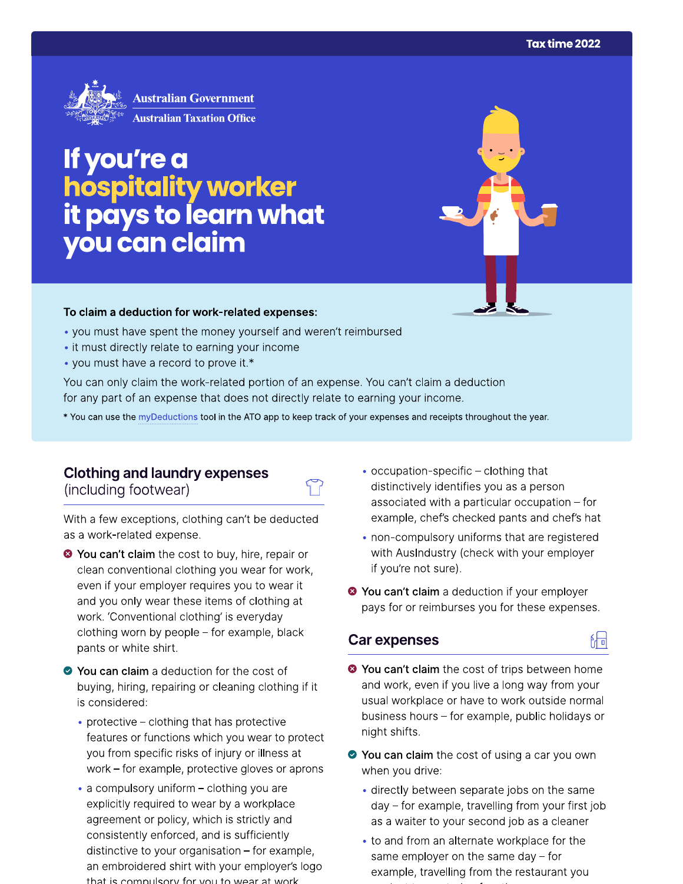

# If you're a hospitality worker<br>it pays to learn what<br>you can claim

#### To claim a deduction for work-related expenses:

- you must have spent the money yourself and weren't reimbursed
- it must directly relate to earning your income
- you must have a record to prove it.\*

You can only claim the work-related portion of an expense. You can't claim a deduction for any part of an expense that does not directly relate to earning your income.

\* You can use the myDeductions tool in the ATO app to keep track of your expenses and receipts throughout the year.

## **Clothing and laundry expenses**

(including footwear)

With a few exceptions, clothing can't be deducted as a work-related expense.

- <sup>●</sup> You can't claim the cost to buy, hire, repair or clean conventional clothing you wear for work, even if your employer requires you to wear it and you only wear these items of clothing at work. 'Conventional clothing' is everyday clothing worn by people - for example, black pants or white shirt.
- ◆ You can claim a deduction for the cost of buying, hiring, repairing or cleaning clothing if it is considered:
	- protective clothing that has protective features or functions which you wear to protect you from specific risks of injury or illness at work  $-$  for example, protective gloves or aprons
	- a compulsory uniform clothing you are explicitly required to wear by a workplace agreement or policy, which is strictly and consistently enforced, and is sufficiently distinctive to your organisation  $-$  for example, an embroidered shirt with your employer's logo that is compulsory for you to wear at work
- occupation-specific clothing that distinctively identifies you as a person associated with a particular occupation - for example, chef's checked pants and chef's hat
- non-compulsory uniforms that are registered with AusIndustry (check with your employer if you're not sure).
- <sup>●</sup> You can't claim a deduction if your employer pays for or reimburses you for these expenses.

### **Car expenses**



品

- ◆ You can claim the cost of using a car you own when you drive:
	- directly between separate jobs on the same day – for example, travelling from your first job as a waiter to your second job as a cleaner
	- to and from an alternate workplace for the same employer on the same day  $-$  for example, travelling from the restaurant you